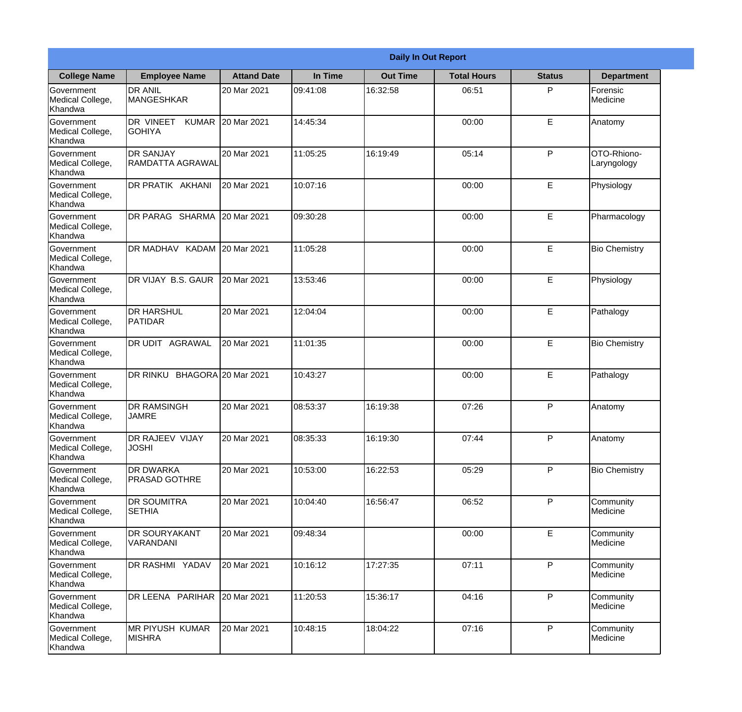|                                                  | <b>Daily In Out Report</b>                 |                     |          |                 |                    |               |                            |
|--------------------------------------------------|--------------------------------------------|---------------------|----------|-----------------|--------------------|---------------|----------------------------|
| <b>College Name</b>                              | <b>Employee Name</b>                       | <b>Attand Date</b>  | In Time  | <b>Out Time</b> | <b>Total Hours</b> | <b>Status</b> | <b>Department</b>          |
| Government<br>Medical College,<br>Khandwa        | <b>DR ANIL</b><br><b>MANGESHKAR</b>        | 20 Mar 2021         | 09:41:08 | 16:32:58        | 06:51              | P             | Forensic<br>Medicine       |
| Government<br>Medical College,<br>Khandwa        | DR VINEET<br><b>KUMAR</b><br><b>GOHIYA</b> | 20 Mar 2021         | 14:45:34 |                 | 00:00              | E             | Anatomy                    |
| <b>Government</b><br>Medical College,<br>Khandwa | <b>DR SANJAY</b><br>RAMDATTA AGRAWAL       | 20 Mar 2021         | 11:05:25 | 16:19:49        | 05:14              | P             | OTO-Rhiono-<br>Laryngology |
| Government<br>Medical College,<br>Khandwa        | <b>DR PRATIK AKHANI</b>                    | 20 Mar 2021         | 10:07:16 |                 | 00:00              | E             | Physiology                 |
| Government<br>Medical College,<br>Khandwa        | DR PARAG SHARMA                            | 20 Mar 2021         | 09:30:28 |                 | 00:00              | E             | Pharmacology               |
| Government<br>Medical College,<br>Khandwa        | DR MADHAV KADAM                            | 20 Mar 2021         | 11:05:28 |                 | 00:00              | E             | <b>Bio Chemistry</b>       |
| Government<br>Medical College,<br>Khandwa        | DR VIJAY B.S. GAUR                         | 20 Mar 2021         | 13:53:46 |                 | 00:00              | E             | Physiology                 |
| Government<br>Medical College,<br>Khandwa        | <b>DR HARSHUL</b><br>PATIDAR               | 20 Mar 2021         | 12:04:04 |                 | 00:00              | E             | Pathalogy                  |
| Government<br>Medical College,<br>Khandwa        | <b>DR UDIT AGRAWAL</b>                     | 20 Mar 2021         | 11:01:35 |                 | 00:00              | E             | <b>Bio Chemistry</b>       |
| Government<br>Medical College,<br>Khandwa        | <b>DR RINKU</b>                            | BHAGORA 20 Mar 2021 | 10:43:27 |                 | 00:00              | E             | Pathalogy                  |
| Government<br>Medical College,<br>Khandwa        | <b>DR RAMSINGH</b><br><b>JAMRE</b>         | 20 Mar 2021         | 08:53:37 | 16:19:38        | 07:26              | $\mathsf{P}$  | Anatomy                    |
| Government<br>Medical College,<br>Khandwa        | <b>DR RAJEEV VIJAY</b><br><b>JOSHI</b>     | 20 Mar 2021         | 08:35:33 | 16:19:30        | 07:44              | P             | Anatomy                    |
| Government<br>Medical College,<br>Khandwa        | <b>DR DWARKA</b><br><b>PRASAD GOTHRE</b>   | 20 Mar 2021         | 10:53:00 | 16:22:53        | 05:29              | P             | <b>Bio Chemistry</b>       |
| Government<br>Medical College,<br>Khandwa        | <b>DR SOUMITRA</b><br><b>SETHIA</b>        | 20 Mar 2021         | 10:04:40 | 16:56:47        | 06:52              | P             | Community<br>Medicine      |
| Government<br>Medical College,<br>Khandwa        | <b>DR SOURYAKANT</b><br>VARANDANI          | 20 Mar 2021         | 09:48:34 |                 | 00:00              | E             | Community<br>Medicine      |
| Government<br>Medical College,<br>Khandwa        | DR RASHMI YADAV                            | 20 Mar 2021         | 10:16:12 | 17:27:35        | 07:11              | P             | Community<br>Medicine      |
| Government<br>Medical College,<br>Khandwa        | DR LEENA PARIHAR                           | 20 Mar 2021         | 11:20:53 | 15:36:17        | 04:16              | P             | Community<br>Medicine      |
| Government<br>Medical College,<br>Khandwa        | <b>MR PIYUSH KUMAR</b><br><b>MISHRA</b>    | 20 Mar 2021         | 10:48:15 | 18:04:22        | 07:16              | P             | Community<br>Medicine      |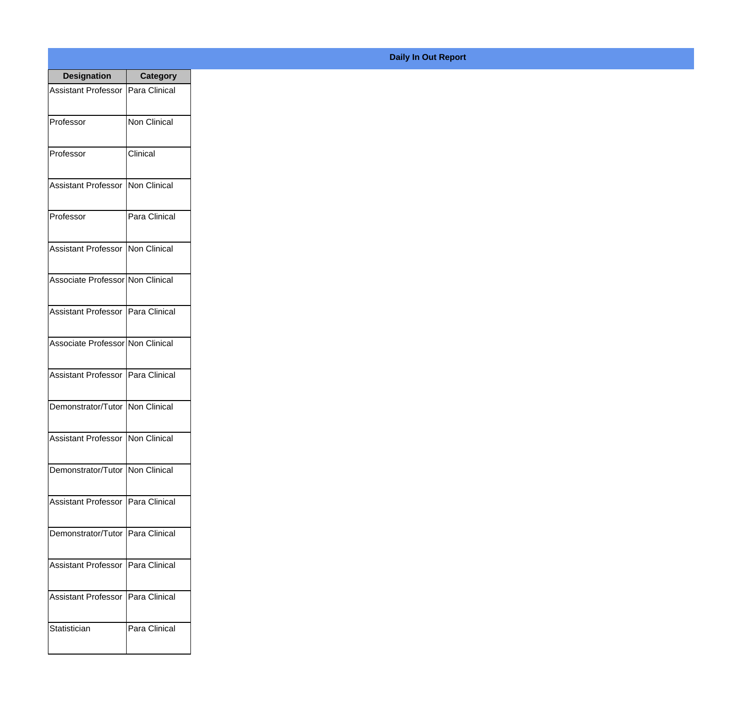| <b>Designation</b>                  | <b>Category</b>     |
|-------------------------------------|---------------------|
| <b>Assistant Professor</b>          | Para Clinical       |
| Professor                           | <b>Non Clinical</b> |
| Professor                           | Clinical            |
| <b>Assistant Professor</b>          | Non Clinical        |
| Professor                           | Para Clinical       |
| <b>Assistant Professor</b>          | Non Clinical        |
| Associate Professor Non Clinical    |                     |
| Assistant Professor   Para Clinical |                     |
| Associate Professor Non Clinical    |                     |
| Assistant Professor   Para Clinical |                     |
| Demonstrator/Tutor   Non Clinical   |                     |
| <b>Assistant Professor</b>          | Non Clinical        |
| Demonstrator/Tutor   Non Clinical   |                     |
| Assistant Professor                 | Para Clinical       |
| Demonstrator/Tutor   Para Clinical  |                     |
| <b>Assistant Professor</b>          | Para Clinical       |
| <b>Assistant Professor</b>          | Para Clinical       |
| Statistician                        | Para Clinical       |

## **Daily In Out Report**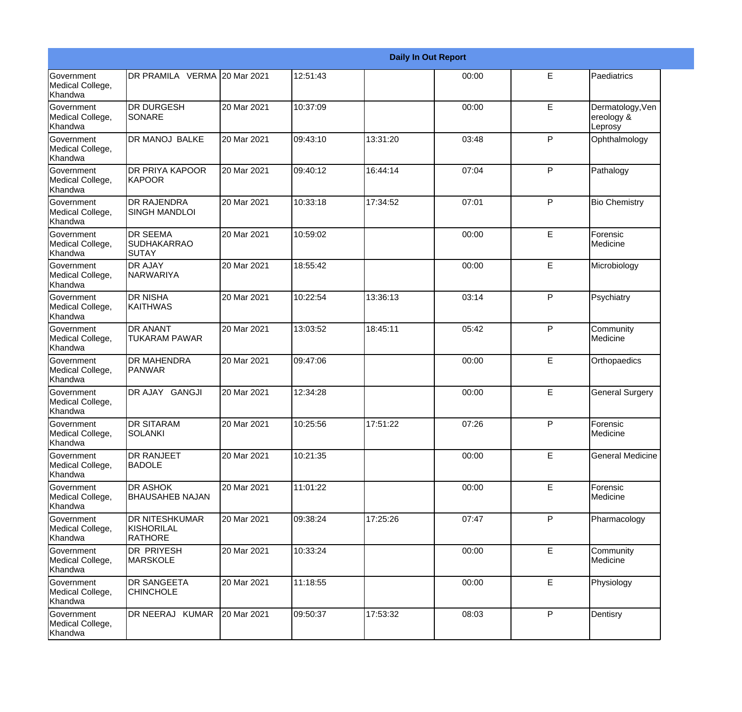|                                                         | <b>Daily In Out Report</b>                            |             |          |          |       |              |                                           |  |
|---------------------------------------------------------|-------------------------------------------------------|-------------|----------|----------|-------|--------------|-------------------------------------------|--|
| Government<br>Medical College,<br>Khandwa               | DR PRAMILA VERMA 20 Mar 2021                          |             | 12:51:43 |          | 00:00 | E            | Paediatrics                               |  |
| <b>Government</b><br>Medical College,<br>Khandwa        | <b>DR DURGESH</b><br><b>SONARE</b>                    | 20 Mar 2021 | 10:37:09 |          | 00:00 | E            | Dermatology, Ven<br>ereology &<br>Leprosy |  |
| <b>Government</b><br>Medical College,<br><b>Khandwa</b> | DR MANOJ BALKE                                        | 20 Mar 2021 | 09:43:10 | 13:31:20 | 03:48 | P            | Ophthalmology                             |  |
| <b>Government</b><br>Medical College,<br>Khandwa        | <b>DR PRIYA KAPOOR</b><br><b>KAPOOR</b>               | 20 Mar 2021 | 09:40:12 | 16:44:14 | 07:04 | P            | Pathalogy                                 |  |
| Government<br>Medical College,<br>Khandwa               | <b>DR RAJENDRA</b><br><b>SINGH MANDLOI</b>            | 20 Mar 2021 | 10:33:18 | 17:34:52 | 07:01 | P            | <b>Bio Chemistry</b>                      |  |
| <b>Government</b><br>Medical College,<br>Khandwa        | <b>DR SEEMA</b><br><b>SUDHAKARRAO</b><br><b>SUTAY</b> | 20 Mar 2021 | 10:59:02 |          | 00:00 | E            | Forensic<br>Medicine                      |  |
| Government<br>Medical College,<br><b>Khandwa</b>        | <b>DR AJAY</b><br>NARWARIYA                           | 20 Mar 2021 | 18:55:42 |          | 00:00 | E            | Microbiology                              |  |
| Government<br>Medical College,<br>Khandwa               | <b>DR NISHA</b><br>KAITHWAS                           | 20 Mar 2021 | 10:22:54 | 13:36:13 | 03:14 | P            | Psychiatry                                |  |
| Government<br>Medical College,<br>Khandwa               | <b>DR ANANT</b><br>TUKARAM PAWAR                      | 20 Mar 2021 | 13:03:52 | 18:45:11 | 05:42 | P            | Community<br>Medicine                     |  |
| <b>Government</b><br>Medical College,<br>Khandwa        | <b>DR MAHENDRA</b><br>PANWAR                          | 20 Mar 2021 | 09:47:06 |          | 00:00 | E            | Orthopaedics                              |  |
| <b>Government</b><br>Medical College,<br>Khandwa        | DR AJAY GANGJI                                        | 20 Mar 2021 | 12:34:28 |          | 00:00 | E            | <b>General Surgery</b>                    |  |
| Government<br>Medical College,<br>Khandwa               | <b>DR SITARAM</b><br>SOLANKI                          | 20 Mar 2021 | 10:25:56 | 17:51:22 | 07:26 | P            | Forensic<br>Medicine                      |  |
| <b>Government</b><br>Medical College,<br>Khandwa        | <b>DR RANJEET</b><br><b>BADOLE</b>                    | 20 Mar 2021 | 10:21:35 |          | 00:00 | E            | <b>General Medicine</b>                   |  |
| Government<br>Medical College,<br>Khandwa               | <b>DR ASHOK</b><br><b>BHAUSAHEB NAJAN</b>             | 20 Mar 2021 | 11:01:22 |          | 00:00 | E            | Forensic<br>Medicine                      |  |
| Government<br>Medical College,<br>Khandwa               | <b>DR NITESHKUMAR</b><br>KISHORILAL<br><b>RATHORE</b> | 20 Mar 2021 | 09:38:24 | 17:25:26 | 07:47 | P            | Pharmacology                              |  |
| Government<br>Medical College,<br>Khandwa               | <b>DR PRIYESH</b><br><b>MARSKOLE</b>                  | 20 Mar 2021 | 10:33:24 |          | 00:00 | E            | Community<br>Medicine                     |  |
| Government<br>Medical College,<br>Khandwa               | <b>DR SANGEETA</b><br><b>CHINCHOLE</b>                | 20 Mar 2021 | 11:18:55 |          | 00:00 | E            | Physiology                                |  |
| Government<br>Medical College,<br>Khandwa               | DR NEERAJ KUMAR                                       | 20 Mar 2021 | 09:50:37 | 17:53:32 | 08:03 | $\mathsf{P}$ | Dentisry                                  |  |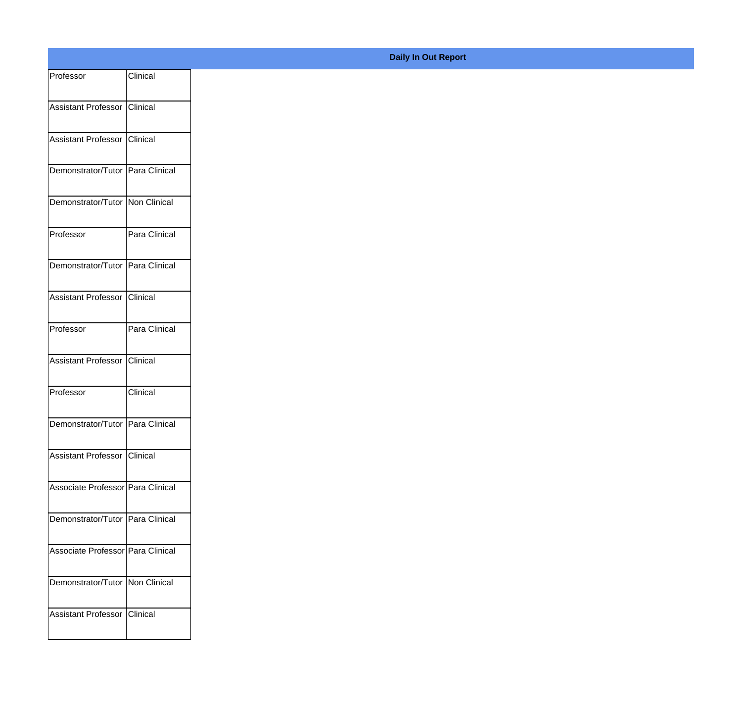| Professor                         | Clinical      |
|-----------------------------------|---------------|
| Assistant Professor Clinical      |               |
|                                   |               |
| Assistant Professor Clinical      |               |
| Demonstrator/Tutor Para Clinical  |               |
| Demonstrator/Tutor Non Clinical   |               |
| Professor                         | Para Clinical |
| Demonstrator/Tutor Para Clinical  |               |
| Assistant Professor Clinical      |               |
| Professor                         | Para Clinical |
|                                   |               |
| Assistant Professor               | Clinical      |
| Professor                         | Clinical      |
| Demonstrator/Tutor Para Clinical  |               |
| Assistant Professor Clinical      |               |
| Associate Professor Para Clinical |               |
| Demonstrator/Tutor Para Clinical  |               |
| Associate Professor Para Clinical |               |
|                                   |               |
| Demonstrator/Tutor   Non Clinical |               |
| Assistant Professor Clinical      |               |